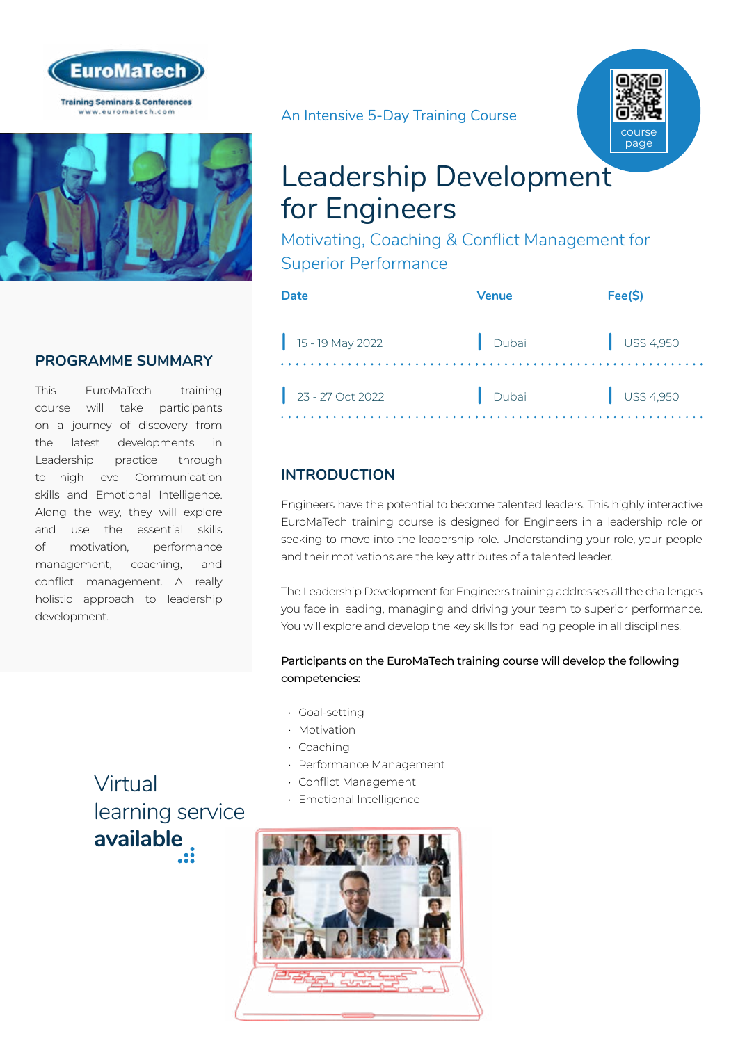



# **PROGRAMME SUMMARY**

This EuroMaTech training course will take participants on a journey of discovery from the latest developments in Leadership practice through to high level Communication skills and Emotional Intelligence. Along the way, they will explore and use the essential skills of motivation, performance management, coaching, and conflict management. A really holistic approach to leadership development.

An Intensive 5-Day Training Course



# Leadership Development for Engineers

Motivating, Coaching & Conflict Management for Superior Performance

| Date               | Venue   | Fee(S)               |
|--------------------|---------|----------------------|
| $15 - 19$ May 2022 | . Dubai | $\int$ US\$ 4,950    |
| $23 - 27$ Oct 2022 | Dubai   | $\bigcup$ US\$ 4,950 |

# **INTRODUCTION**

Engineers have the potential to become talented leaders. This highly interactive EuroMaTech training course is designed for Engineers in a leadership role or seeking to move into the leadership role. Understanding your role, your people and their motivations are the key attributes of a talented leader.

The Leadership Development for Engineers training addresses all the challenges you face in leading, managing and driving your team to superior performance. You will explore and develop the key skills for leading people in all disciplines.

#### Participants on the EuroMaTech training course will develop the following competencies:

- Goal-setting
- Motivation
- Coaching
- Performance Management
- Conflict Management
- Emotional Intelligence



Virtual [learning service](https://www.euromatech.com/seminars/leadership-development-for-engineers/)  **available**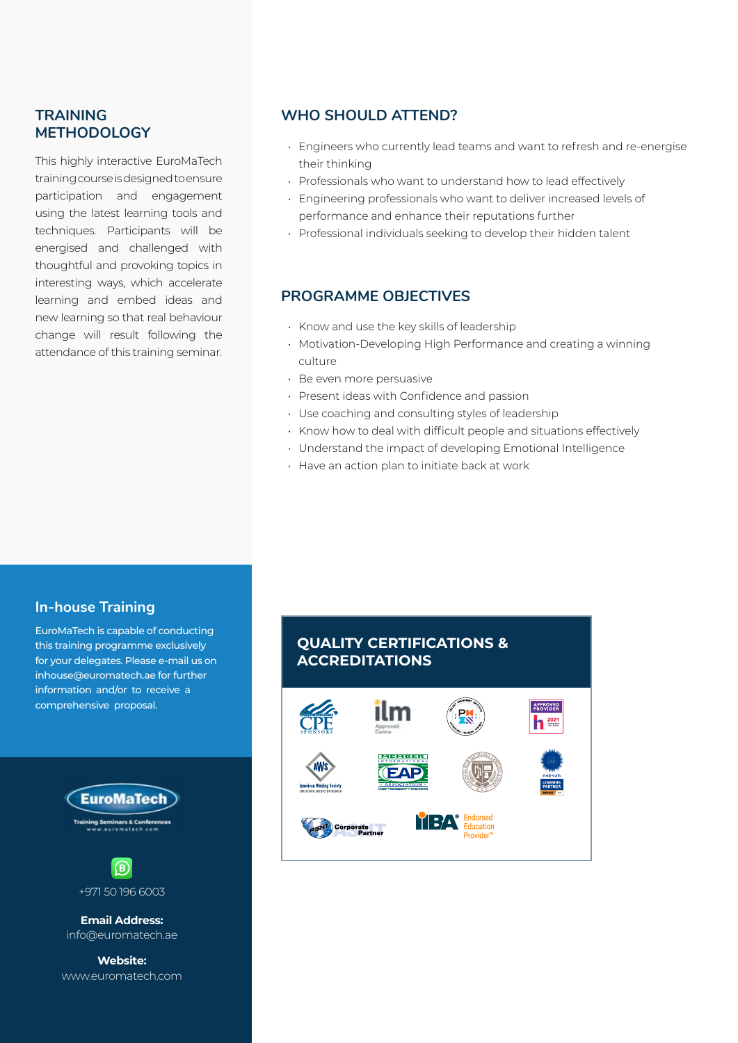## **TRAINING METHODOLOGY**

This highly interactive EuroMaTech training course is designed to ensure participation and engagement using the latest learning tools and techniques. Participants will be energised and challenged with thoughtful and provoking topics in interesting ways, which accelerate learning and embed ideas and new learning so that real behaviour change will result following the attendance of this training seminar.

#### **WHO SHOULD ATTEND?**

- Engineers who currently lead teams and want to refresh and re-energise their thinking
- Professionals who want to understand how to lead effectively
- Engineering professionals who want to deliver increased levels of performance and enhance their reputations further
- Professional individuals seeking to develop their hidden talent

#### **PROGRAMME OBJECTIVES**

- Know and use the key skills of leadership
- Motivation-Developing High Performance and creating a winning culture
- Be even more persuasive
- Present ideas with Confidence and passion
- Use coaching and consulting styles of leadership
- Know how to deal with difficult people and situations effectively
- Understand the impact of developing Emotional Intelligence
- Have an action plan to initiate back at work

## **In-house Training**

EuroMaTech is capable of conducting this training programme exclusively for your delegates. Please e-mail us on inhouse@euromatech.ae for further information and/or to receive a comprehensive proposal.



**Email Address:** info@euromatech.ae

**Website:** www.euromatech.com

# **QUALITY CERTIFICATIONS & ACCREDITATIONS**

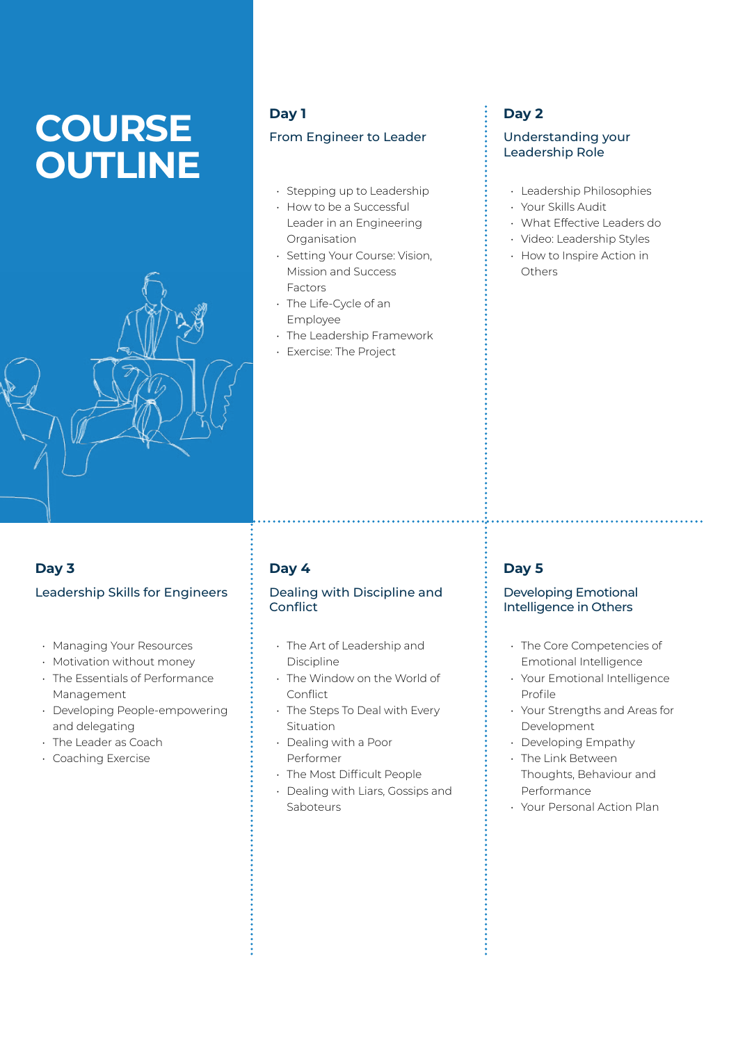# **COURSE OUTLINE**



#### **Day 1**

#### From Engineer to Leader

- Stepping up to Leadership
- How to be a Successful Leader in an Engineering Organisation
- Setting Your Course: Vision, Mission and Success Factors
- The Life-Cycle of an Employee
- The Leadership Framework
- Exercise: The Project

# **Day 2**

#### Understanding your Leadership Role

- Leadership Philosophies
- Your Skills Audit
- What Effective Leaders do
- Video: Leadership Styles
- How to Inspire Action in Others

# **Day 3** Leadership Skills for Engineers

- Managing Your Resources
- Motivation without money
- The Essentials of Performance Management
- Developing People-empowering and delegating
- The Leader as Coach
- Coaching Exercise

# **Day 4**

#### Dealing with Discipline and **Conflict**

- The Art of Leadership and Discipline
- The Window on the World of **Conflict**
- The Steps To Deal with Every Situation
- Dealing with a Poor Performer
- The Most Difficult People
- Dealing with Liars, Gossips and Saboteurs

# **Day 5**

#### Developing Emotional Intelligence in Others

- The Core Competencies of Emotional Intelligence
- Your Emotional Intelligence Profile
- Your Strengths and Areas for Development
- Developing Empathy
- The Link Between Thoughts, Behaviour and
- Performance
- Your Personal Action Plan